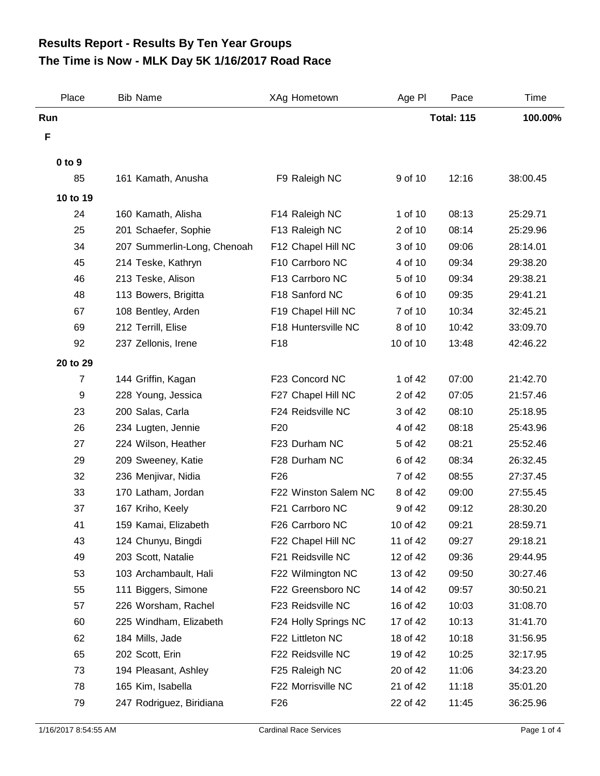## **The Time is Now - MLK Day 5K 1/16/2017 Road Race Results Report - Results By Ten Year Groups**

| Place          | <b>Bib Name</b>             | XAg Hometown         | Age PI   | Pace              | Time     |
|----------------|-----------------------------|----------------------|----------|-------------------|----------|
| Run            |                             |                      |          | <b>Total: 115</b> | 100.00%  |
| F              |                             |                      |          |                   |          |
| 0 to 9         |                             |                      |          |                   |          |
| 85             | 161 Kamath, Anusha          | F9 Raleigh NC        | 9 of 10  | 12:16             | 38:00.45 |
| 10 to 19       |                             |                      |          |                   |          |
| 24             | 160 Kamath, Alisha          | F14 Raleigh NC       | 1 of 10  | 08:13             | 25:29.71 |
| 25             | 201 Schaefer, Sophie        | F13 Raleigh NC       | 2 of 10  | 08:14             | 25:29.96 |
| 34             | 207 Summerlin-Long, Chenoah | F12 Chapel Hill NC   | 3 of 10  | 09:06             | 28:14.01 |
| 45             | 214 Teske, Kathryn          | F10 Carrboro NC      | 4 of 10  | 09:34             | 29:38.20 |
| 46             | 213 Teske, Alison           | F13 Carrboro NC      | 5 of 10  | 09:34             | 29:38.21 |
| 48             | 113 Bowers, Brigitta        | F18 Sanford NC       | 6 of 10  | 09:35             | 29:41.21 |
| 67             | 108 Bentley, Arden          | F19 Chapel Hill NC   | 7 of 10  | 10:34             | 32:45.21 |
| 69             | 212 Terrill, Elise          | F18 Huntersville NC  | 8 of 10  | 10:42             | 33:09.70 |
| 92             | 237 Zellonis, Irene         | F18                  | 10 of 10 | 13:48             | 42:46.22 |
| 20 to 29       |                             |                      |          |                   |          |
| $\overline{7}$ | 144 Griffin, Kagan          | F23 Concord NC       | 1 of 42  | 07:00             | 21:42.70 |
| 9              | 228 Young, Jessica          | F27 Chapel Hill NC   | 2 of 42  | 07:05             | 21:57.46 |
| 23             | 200 Salas, Carla            | F24 Reidsville NC    | 3 of 42  | 08:10             | 25:18.95 |
| 26             | 234 Lugten, Jennie          | F <sub>20</sub>      | 4 of 42  | 08:18             | 25:43.96 |
| 27             | 224 Wilson, Heather         | F23 Durham NC        | 5 of 42  | 08:21             | 25:52.46 |
| 29             | 209 Sweeney, Katie          | F28 Durham NC        | 6 of 42  | 08:34             | 26:32.45 |
| 32             | 236 Menjivar, Nidia         | F <sub>26</sub>      | 7 of 42  | 08:55             | 27:37.45 |
| 33             | 170 Latham, Jordan          | F22 Winston Salem NC | 8 of 42  | 09:00             | 27:55.45 |
| 37             | 167 Kriho, Keely            | F21 Carrboro NC      | 9 of 42  | 09:12             | 28:30.20 |
| 41             | 159 Kamai, Elizabeth        | F26 Carrboro NC      | 10 of 42 | 09:21             | 28:59.71 |
| 43             | 124 Chunyu, Bingdi          | F22 Chapel Hill NC   | 11 of 42 | 09:27             | 29:18.21 |
| 49             | 203 Scott, Natalie          | F21 Reidsville NC    | 12 of 42 | 09:36             | 29:44.95 |
| 53             | 103 Archambault, Hali       | F22 Wilmington NC    | 13 of 42 | 09:50             | 30:27.46 |
| 55             | 111 Biggers, Simone         | F22 Greensboro NC    | 14 of 42 | 09:57             | 30:50.21 |
| 57             | 226 Worsham, Rachel         | F23 Reidsville NC    | 16 of 42 | 10:03             | 31:08.70 |
| 60             | 225 Windham, Elizabeth      | F24 Holly Springs NC | 17 of 42 | 10:13             | 31:41.70 |
| 62             | 184 Mills, Jade             | F22 Littleton NC     | 18 of 42 | 10:18             | 31:56.95 |
| 65             | 202 Scott, Erin             | F22 Reidsville NC    | 19 of 42 | 10:25             | 32:17.95 |
| 73             | 194 Pleasant, Ashley        | F25 Raleigh NC       | 20 of 42 | 11:06             | 34:23.20 |
| 78             | 165 Kim, Isabella           | F22 Morrisville NC   | 21 of 42 | 11:18             | 35:01.20 |
| 79             | 247 Rodriguez, Biridiana    | F <sub>26</sub>      | 22 of 42 | 11:45             | 36:25.96 |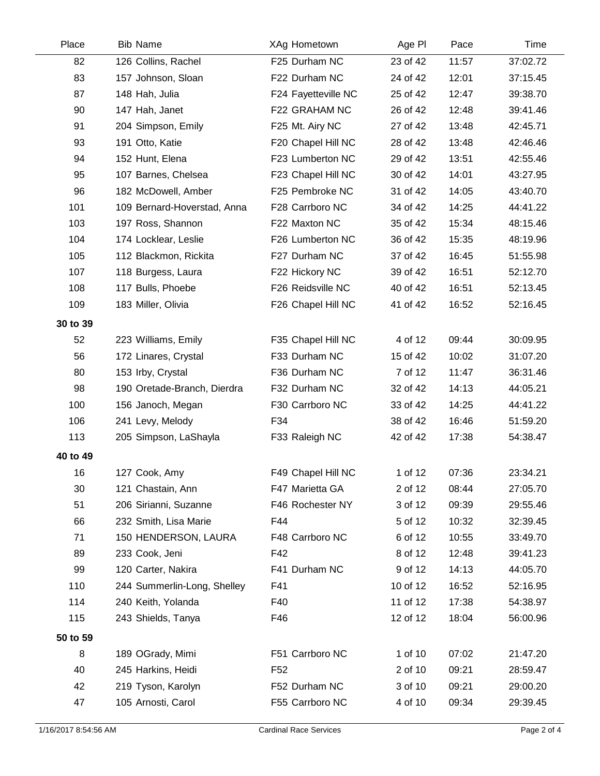| Place    | <b>Bib Name</b>             | XAg Hometown        | Age PI   | Pace  | Time     |
|----------|-----------------------------|---------------------|----------|-------|----------|
| 82       | 126 Collins, Rachel         | F25 Durham NC       | 23 of 42 | 11:57 | 37:02.72 |
| 83       | 157 Johnson, Sloan          | F22 Durham NC       | 24 of 42 | 12:01 | 37:15.45 |
| 87       | 148 Hah, Julia              | F24 Fayetteville NC | 25 of 42 | 12:47 | 39:38.70 |
| 90       | 147 Hah, Janet              | F22 GRAHAM NC       | 26 of 42 | 12:48 | 39:41.46 |
| 91       | 204 Simpson, Emily          | F25 Mt. Airy NC     | 27 of 42 | 13:48 | 42:45.71 |
| 93       | 191 Otto, Katie             | F20 Chapel Hill NC  | 28 of 42 | 13:48 | 42:46.46 |
| 94       | 152 Hunt, Elena             | F23 Lumberton NC    | 29 of 42 | 13:51 | 42:55.46 |
| 95       | 107 Barnes, Chelsea         | F23 Chapel Hill NC  | 30 of 42 | 14:01 | 43:27.95 |
| 96       | 182 McDowell, Amber         | F25 Pembroke NC     | 31 of 42 | 14:05 | 43:40.70 |
| 101      | 109 Bernard-Hoverstad, Anna | F28 Carrboro NC     | 34 of 42 | 14:25 | 44:41.22 |
| 103      | 197 Ross, Shannon           | F22 Maxton NC       | 35 of 42 | 15:34 | 48:15.46 |
| 104      | 174 Locklear, Leslie        | F26 Lumberton NC    | 36 of 42 | 15:35 | 48:19.96 |
| 105      | 112 Blackmon, Rickita       | F27 Durham NC       | 37 of 42 | 16:45 | 51:55.98 |
| 107      | 118 Burgess, Laura          | F22 Hickory NC      | 39 of 42 | 16:51 | 52:12.70 |
| 108      | 117 Bulls, Phoebe           | F26 Reidsville NC   | 40 of 42 | 16:51 | 52:13.45 |
| 109      | 183 Miller, Olivia          | F26 Chapel Hill NC  | 41 of 42 | 16:52 | 52:16.45 |
| 30 to 39 |                             |                     |          |       |          |
| 52       | 223 Williams, Emily         | F35 Chapel Hill NC  | 4 of 12  | 09:44 | 30:09.95 |
| 56       | 172 Linares, Crystal        | F33 Durham NC       | 15 of 42 | 10:02 | 31:07.20 |
| 80       | 153 Irby, Crystal           | F36 Durham NC       | 7 of 12  | 11:47 | 36:31.46 |
| 98       | 190 Oretade-Branch, Dierdra | F32 Durham NC       | 32 of 42 | 14:13 | 44:05.21 |
| 100      | 156 Janoch, Megan           | F30 Carrboro NC     | 33 of 42 | 14:25 | 44:41.22 |
| 106      | 241 Levy, Melody            | F34                 | 38 of 42 | 16:46 | 51:59.20 |
| 113      | 205 Simpson, LaShayla       | F33 Raleigh NC      | 42 of 42 | 17:38 | 54:38.47 |
| 40 to 49 |                             |                     |          |       |          |
| 16       | 127 Cook, Amy               | F49 Chapel Hill NC  | 1 of 12  | 07:36 | 23:34.21 |
| 30       | 121 Chastain, Ann           | F47 Marietta GA     | 2 of 12  | 08:44 | 27:05.70 |
| 51       | 206 Sirianni, Suzanne       | F46 Rochester NY    | 3 of 12  | 09:39 | 29:55.46 |
| 66       | 232 Smith, Lisa Marie       | F44                 | 5 of 12  | 10:32 | 32:39.45 |
| 71       | 150 HENDERSON, LAURA        | F48 Carrboro NC     | 6 of 12  | 10:55 | 33:49.70 |
| 89       | 233 Cook, Jeni              | F42                 | 8 of 12  | 12:48 | 39:41.23 |
| 99       | 120 Carter, Nakira          | F41 Durham NC       | 9 of 12  | 14:13 | 44:05.70 |
| 110      | 244 Summerlin-Long, Shelley | F41                 | 10 of 12 | 16:52 | 52:16.95 |
| 114      | 240 Keith, Yolanda          | F40                 | 11 of 12 | 17:38 | 54:38.97 |
| 115      | 243 Shields, Tanya          | F46                 | 12 of 12 | 18:04 | 56:00.96 |
| 50 to 59 |                             |                     |          |       |          |
| 8        | 189 OGrady, Mimi            | F51 Carrboro NC     | 1 of 10  | 07:02 | 21:47.20 |
| 40       | 245 Harkins, Heidi          | F <sub>52</sub>     | 2 of 10  | 09:21 | 28:59.47 |
| 42       | 219 Tyson, Karolyn          | F52 Durham NC       | 3 of 10  | 09:21 | 29:00.20 |
| 47       | 105 Arnosti, Carol          | F55 Carrboro NC     | 4 of 10  | 09:34 | 29:39.45 |
|          |                             |                     |          |       |          |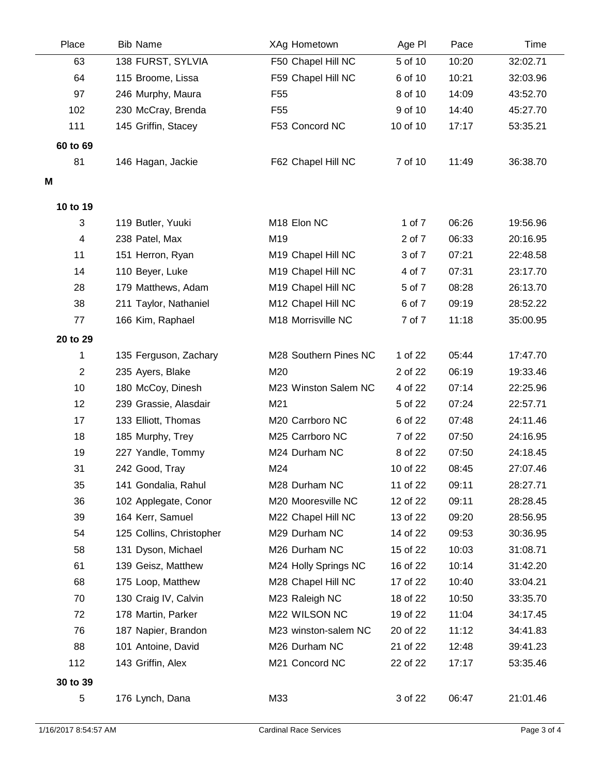| Place          | <b>Bib Name</b>          | XAg Hometown                   | Age PI   | Pace  | Time     |
|----------------|--------------------------|--------------------------------|----------|-------|----------|
| 63             | 138 FURST, SYLVIA        | F50 Chapel Hill NC             | 5 of 10  | 10:20 | 32:02.71 |
| 64             | 115 Broome, Lissa        | F59 Chapel Hill NC             | 6 of 10  | 10:21 | 32:03.96 |
| 97             | 246 Murphy, Maura        | F <sub>55</sub>                | 8 of 10  | 14:09 | 43:52.70 |
| 102            | 230 McCray, Brenda       | F <sub>55</sub>                | 9 of 10  | 14:40 | 45:27.70 |
| 111            | 145 Griffin, Stacey      | F53 Concord NC                 | 10 of 10 | 17:17 | 53:35.21 |
| 60 to 69       |                          |                                |          |       |          |
| 81             | 146 Hagan, Jackie        | F62 Chapel Hill NC             | 7 of 10  | 11:49 | 36:38.70 |
| Μ              |                          |                                |          |       |          |
|                |                          |                                |          |       |          |
| 10 to 19       |                          |                                |          |       |          |
| 3              | 119 Butler, Yuuki        | M18 Elon NC                    | 1 of 7   | 06:26 | 19:56.96 |
| 4              | 238 Patel, Max           | M19                            | 2 of 7   | 06:33 | 20:16.95 |
| 11             | 151 Herron, Ryan         | M <sub>19</sub> Chapel Hill NC | 3 of 7   | 07:21 | 22:48.58 |
| 14             | 110 Beyer, Luke          | M19 Chapel Hill NC             | 4 of 7   | 07:31 | 23:17.70 |
| 28             | 179 Matthews, Adam       | M19 Chapel Hill NC             | 5 of 7   | 08:28 | 26:13.70 |
| 38             | 211 Taylor, Nathaniel    | M12 Chapel Hill NC             | 6 of 7   | 09:19 | 28:52.22 |
| 77             | 166 Kim, Raphael         | M18 Morrisville NC             | 7 of 7   | 11:18 | 35:00.95 |
| 20 to 29       |                          |                                |          |       |          |
| 1              | 135 Ferguson, Zachary    | M28 Southern Pines NC          | 1 of 22  | 05:44 | 17:47.70 |
| $\overline{2}$ | 235 Ayers, Blake         | M20                            | 2 of 22  | 06:19 | 19:33.46 |
| 10             | 180 McCoy, Dinesh        | M23 Winston Salem NC           | 4 of 22  | 07:14 | 22:25.96 |
| 12             | 239 Grassie, Alasdair    | M21                            | 5 of 22  | 07:24 | 22:57.71 |
| 17             | 133 Elliott, Thomas      | M20 Carrboro NC                | 6 of 22  | 07:48 | 24:11.46 |
| 18             | 185 Murphy, Trey         | M25 Carrboro NC                | 7 of 22  | 07:50 | 24:16.95 |
| 19             | 227 Yandle, Tommy        | M24 Durham NC                  | 8 of 22  | 07:50 | 24:18.45 |
| 31             | 242 Good, Tray           | M24                            | 10 of 22 | 08:45 | 27:07.46 |
| 35             | 141 Gondalia, Rahul      | M28 Durham NC                  | 11 of 22 | 09:11 | 28:27.71 |
| 36             | 102 Applegate, Conor     | M20 Mooresville NC             | 12 of 22 | 09:11 | 28:28.45 |
| 39             | 164 Kerr, Samuel         | M22 Chapel Hill NC             | 13 of 22 | 09:20 | 28:56.95 |
| 54             | 125 Collins, Christopher | M29 Durham NC                  | 14 of 22 | 09:53 | 30:36.95 |
| 58             | 131 Dyson, Michael       | M26 Durham NC                  | 15 of 22 | 10:03 | 31:08.71 |
| 61             | 139 Geisz, Matthew       | M24 Holly Springs NC           | 16 of 22 | 10:14 | 31:42.20 |
| 68             | 175 Loop, Matthew        | M28 Chapel Hill NC             | 17 of 22 | 10:40 | 33:04.21 |
| 70             | 130 Craig IV, Calvin     | M23 Raleigh NC                 | 18 of 22 | 10:50 | 33:35.70 |
| 72             | 178 Martin, Parker       | M22 WILSON NC                  | 19 of 22 | 11:04 | 34:17.45 |
| 76             | 187 Napier, Brandon      | M23 winston-salem NC           | 20 of 22 | 11:12 | 34:41.83 |
| 88             | 101 Antoine, David       | M26 Durham NC                  | 21 of 22 | 12:48 | 39:41.23 |
| 112            | 143 Griffin, Alex        | M21 Concord NC                 | 22 of 22 | 17:17 | 53:35.46 |
| 30 to 39       |                          |                                |          |       |          |
| 5              | 176 Lynch, Dana          | M33                            | 3 of 22  | 06:47 | 21:01.46 |